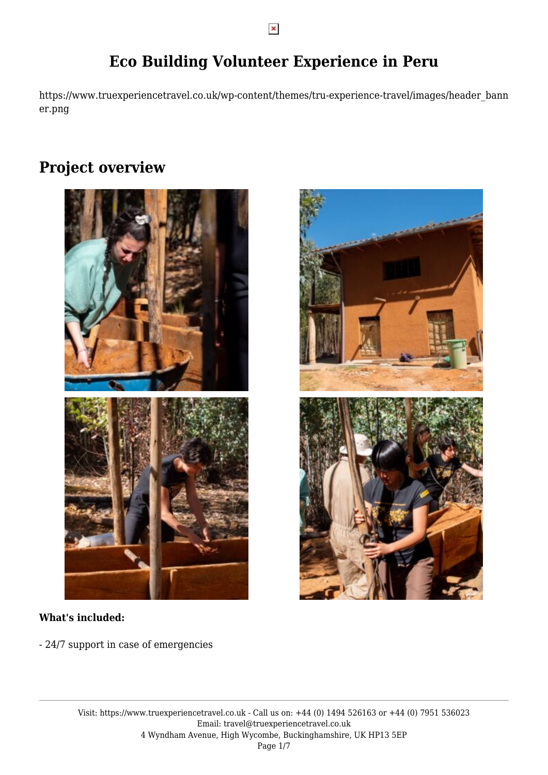# **Eco Building Volunteer Experience in Peru**

https://www.truexperiencetravel.co.uk/wp-content/themes/tru-experience-travel/images/header\_bann er.png

# **Project overview**



### **What's included:**

- 24/7 support in case of emergencies

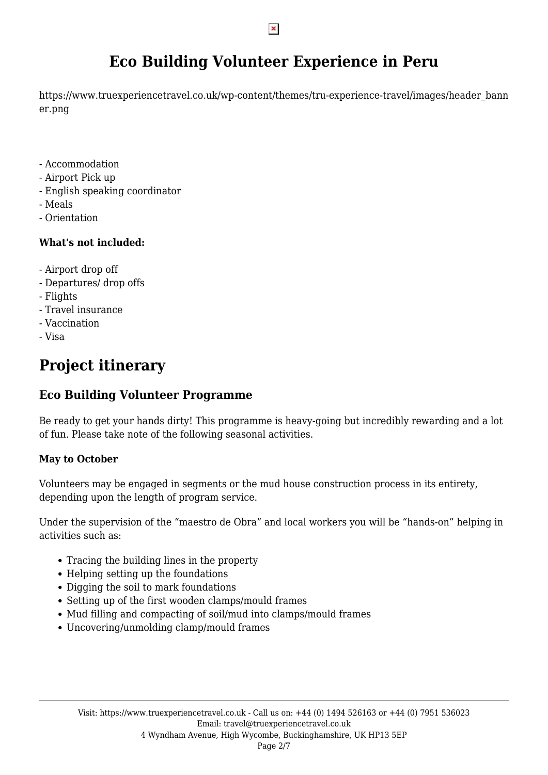# **Eco Building Volunteer Experience in Peru**

https://www.truexperiencetravel.co.uk/wp-content/themes/tru-experience-travel/images/header\_bann er.png

- Accommodation
- Airport Pick up
- English speaking coordinator
- Meals
- Orientation

## **What's not included:**

- Airport drop off
- Departures/ drop offs
- Flights
- Travel insurance
- Vaccination
- Visa

# **Project itinerary**

# **Eco Building Volunteer Programme**

Be ready to get your hands dirty! This programme is heavy-going but incredibly rewarding and a lot of fun. Please take note of the following seasonal activities.

## **May to October**

Volunteers may be engaged in segments or the mud house construction process in its entirety, depending upon the length of program service.

Under the supervision of the "maestro de Obra" and local workers you will be "hands-on" helping in activities such as:

- Tracing the building lines in the property
- Helping setting up the foundations
- Digging the soil to mark foundations
- Setting up of the first wooden clamps/mould frames
- Mud filling and compacting of soil/mud into clamps/mould frames
- Uncovering/unmolding clamp/mould frames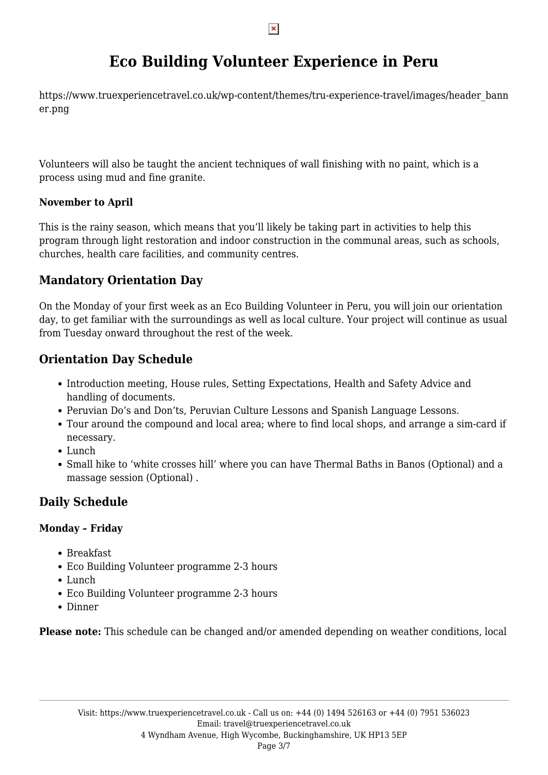# **Eco Building Volunteer Experience in Peru**

https://www.truexperiencetravel.co.uk/wp-content/themes/tru-experience-travel/images/header\_bann er.png

Volunteers will also be taught the ancient techniques of wall finishing with no paint, which is a process using mud and fine granite.

## **November to April**

This is the rainy season, which means that you'll likely be taking part in activities to help this program through light restoration and indoor construction in the communal areas, such as schools, churches, health care facilities, and community centres.

# **Mandatory Orientation Day**

On the Monday of your first week as an Eco Building Volunteer in Peru, you will join our orientation day, to get familiar with the surroundings as well as local culture. Your project will continue as usual from Tuesday onward throughout the rest of the week.

# **Orientation Day Schedule**

- Introduction meeting, House rules, Setting Expectations, Health and Safety Advice and handling of documents.
- Peruvian Do's and Don'ts, Peruvian Culture Lessons and Spanish Language Lessons.
- Tour around the compound and local area; where to find local shops, and arrange a sim-card if necessary.
- Lunch
- Small hike to 'white crosses hill' where you can have Thermal Baths in Banos (Optional) and a massage session (Optional) .

# **Daily Schedule**

## **Monday – Friday**

- Breakfast
- Eco Building Volunteer programme 2-3 hours
- Lunch
- Eco Building Volunteer programme 2-3 hours
- Dinner

**Please note:** This schedule can be changed and/or amended depending on weather conditions, local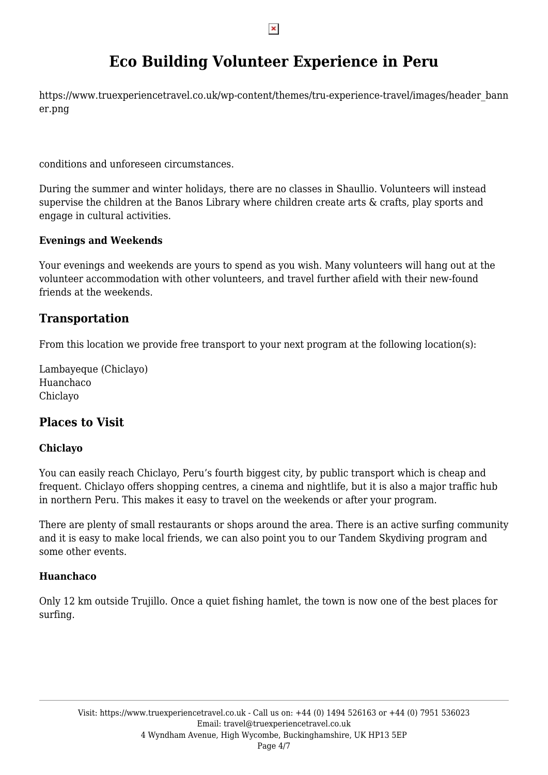# **Eco Building Volunteer Experience in Peru**

https://www.truexperiencetravel.co.uk/wp-content/themes/tru-experience-travel/images/header\_bann er.png

conditions and unforeseen circumstances.

During the summer and winter holidays, there are no classes in Shaullio. Volunteers will instead supervise the children at the Banos Library where children create arts & crafts, play sports and engage in cultural activities.

### **Evenings and Weekends**

Your evenings and weekends are yours to spend as you wish. Many volunteers will hang out at the volunteer accommodation with other volunteers, and travel further afield with their new-found friends at the weekends.

# **Transportation**

From this location we provide free transport to your next program at the following location(s):

Lambayeque (Chiclayo) Huanchaco Chiclayo

# **Places to Visit**

## **Chiclayo**

You can easily reach Chiclayo, Peru's fourth biggest city, by public transport which is cheap and frequent. Chiclayo offers shopping centres, a cinema and nightlife, but it is also a major traffic hub in northern Peru. This makes it easy to travel on the weekends or after your program.

There are plenty of small restaurants or shops around the area. There is an active surfing community and it is easy to make local friends, we can also point you to our Tandem Skydiving program and some other events.

### **Huanchaco**

Only 12 km outside Trujillo. Once a quiet fishing hamlet, the town is now one of the best places for surfing.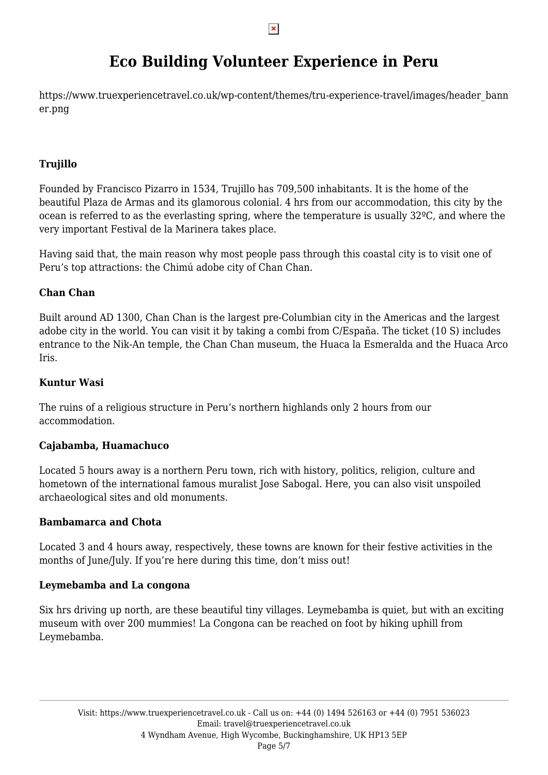# **Eco Building Volunteer Experience in Peru**

https://www.truexperiencetravel.co.uk/wp-content/themes/tru-experience-travel/images/header\_bann er.png

### **Trujillo**

Founded by Francisco Pizarro in 1534, Trujillo has 709,500 inhabitants. It is the home of the beautiful Plaza de Armas and its glamorous colonial. 4 hrs from our accommodation, this city by the ocean is referred to as the everlasting spring, where the temperature is usually 32ºC, and where the very important Festival de la Marinera takes place.

Having said that, the main reason why most people pass through this coastal city is to visit one of Peru's top attractions: the Chimú adobe city of Chan Chan.

### **Chan Chan**

Built around AD 1300, Chan Chan is the largest pre-Columbian city in the Americas and the largest adobe city in the world. You can visit it by taking a combi from C/España. The ticket (10 S) includes entrance to the Nik-An temple, the Chan Chan museum, the Huaca la Esmeralda and the Huaca Arco Iris.

#### **Kuntur Wasi**

The ruins of a religious structure in Peru's northern highlands only 2 hours from our accommodation.

#### **Cajabamba, Huamachuco**

Located 5 hours away is a northern Peru town, rich with history, politics, religion, culture and hometown of the international famous muralist Jose Sabogal. Here, you can also visit unspoiled archaeological sites and old monuments.

#### **Bambamarca and Chota**

Located 3 and 4 hours away, respectively, these towns are known for their festive activities in the months of June/July. If you're here during this time, don't miss out!

#### **Leymebamba and La congona**

Six hrs driving up north, are these beautiful tiny villages. Leymebamba is quiet, but with an exciting museum with over 200 mummies! La Congona can be reached on foot by hiking uphill from Leymebamba.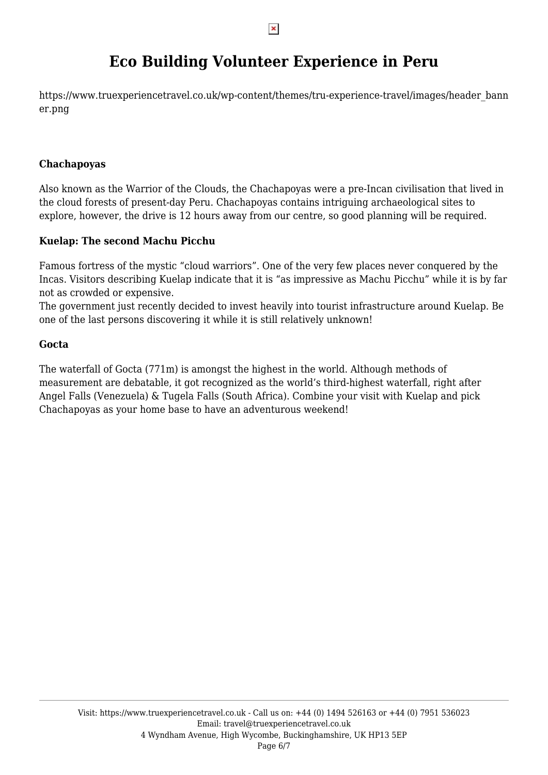# **Eco Building Volunteer Experience in Peru**

https://www.truexperiencetravel.co.uk/wp-content/themes/tru-experience-travel/images/header\_bann er.png

#### **Chachapoyas**

Also known as the Warrior of the Clouds, the Chachapoyas were a pre-Incan civilisation that lived in the cloud forests of present-day Peru. Chachapoyas contains intriguing archaeological sites to explore, however, the drive is 12 hours away from our centre, so good planning will be required.

#### **Kuelap: The second Machu Picchu**

Famous fortress of the mystic "cloud warriors". One of the very few places never conquered by the Incas. Visitors describing Kuelap indicate that it is "as impressive as Machu Picchu" while it is by far not as crowded or expensive.

The government just recently decided to invest heavily into tourist infrastructure around Kuelap. Be one of the last persons discovering it while it is still relatively unknown!

#### **Gocta**

The waterfall of Gocta (771m) is amongst the highest in the world. Although methods of measurement are debatable, it got recognized as the world's third-highest waterfall, right after Angel Falls (Venezuela) & Tugela Falls (South Africa). Combine your visit with Kuelap and pick Chachapoyas as your home base to have an adventurous weekend!